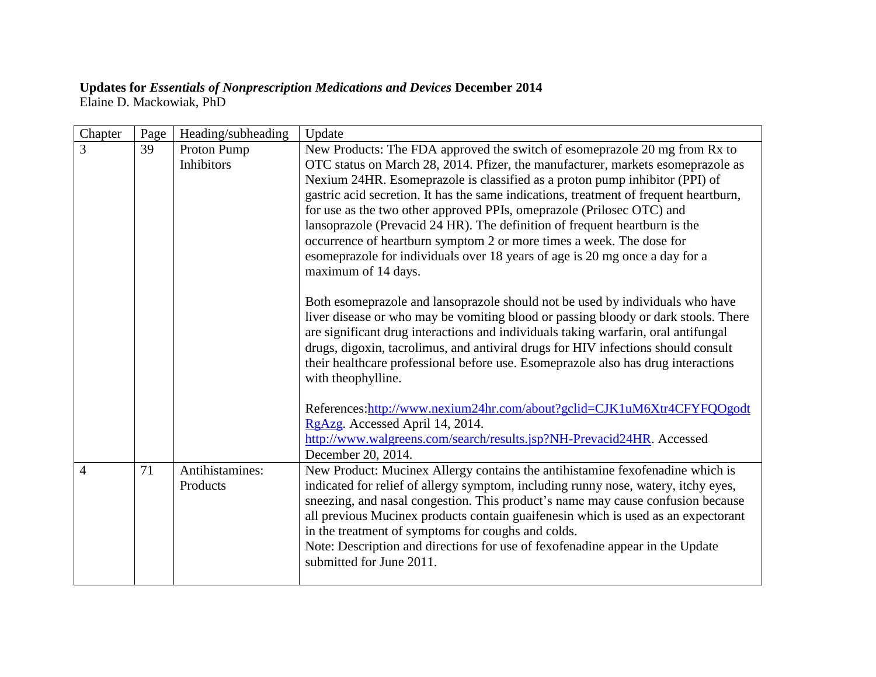## **Updates for** *Essentials of Nonprescription Medications and Devices* **December 2014** Elaine D. Mackowiak, PhD

| Chapter        | Page | Heading/subheading | Update                                                                                                                                                                |
|----------------|------|--------------------|-----------------------------------------------------------------------------------------------------------------------------------------------------------------------|
| 3              | 39   | Proton Pump        | New Products: The FDA approved the switch of esomeprazole 20 mg from Rx to                                                                                            |
|                |      | <b>Inhibitors</b>  | OTC status on March 28, 2014. Pfizer, the manufacturer, markets esomeprazole as                                                                                       |
|                |      |                    | Nexium 24HR. Esomeprazole is classified as a proton pump inhibitor (PPI) of                                                                                           |
|                |      |                    | gastric acid secretion. It has the same indications, treatment of frequent heartburn,<br>for use as the two other approved PPIs, omeprazole (Prilosec OTC) and        |
|                |      |                    | lansoprazole (Prevacid 24 HR). The definition of frequent heartburn is the                                                                                            |
|                |      |                    | occurrence of heartburn symptom 2 or more times a week. The dose for                                                                                                  |
|                |      |                    | esomeprazole for individuals over 18 years of age is 20 mg once a day for a                                                                                           |
|                |      |                    | maximum of 14 days.                                                                                                                                                   |
|                |      |                    | Both esomeprazole and lansoprazole should not be used by individuals who have                                                                                         |
|                |      |                    | liver disease or who may be vomiting blood or passing bloody or dark stools. There                                                                                    |
|                |      |                    | are significant drug interactions and individuals taking warfarin, oral antifungal                                                                                    |
|                |      |                    | drugs, digoxin, tacrolimus, and antiviral drugs for HIV infections should consult                                                                                     |
|                |      |                    | their healthcare professional before use. Esomeprazole also has drug interactions<br>with theophylline.                                                               |
|                |      |                    |                                                                                                                                                                       |
|                |      |                    | References:http://www.nexium24hr.com/about?gclid=CJK1uM6Xtr4CFYFQOgodt                                                                                                |
|                |      |                    | RgAzg. Accessed April 14, 2014.                                                                                                                                       |
|                |      |                    | http://www.walgreens.com/search/results.jsp?NH-Prevacid24HR. Accessed                                                                                                 |
|                |      |                    | December 20, 2014.                                                                                                                                                    |
| $\overline{4}$ | 71   | Antihistamines:    | New Product: Mucinex Allergy contains the antihistamine fexofenadine which is                                                                                         |
|                |      | Products           | indicated for relief of allergy symptom, including runny nose, watery, itchy eyes,<br>sneezing, and nasal congestion. This product's name may cause confusion because |
|                |      |                    | all previous Mucinex products contain guaifenesin which is used as an expectorant                                                                                     |
|                |      |                    | in the treatment of symptoms for coughs and colds.                                                                                                                    |
|                |      |                    | Note: Description and directions for use of fexofenadine appear in the Update                                                                                         |
|                |      |                    | submitted for June 2011.                                                                                                                                              |
|                |      |                    |                                                                                                                                                                       |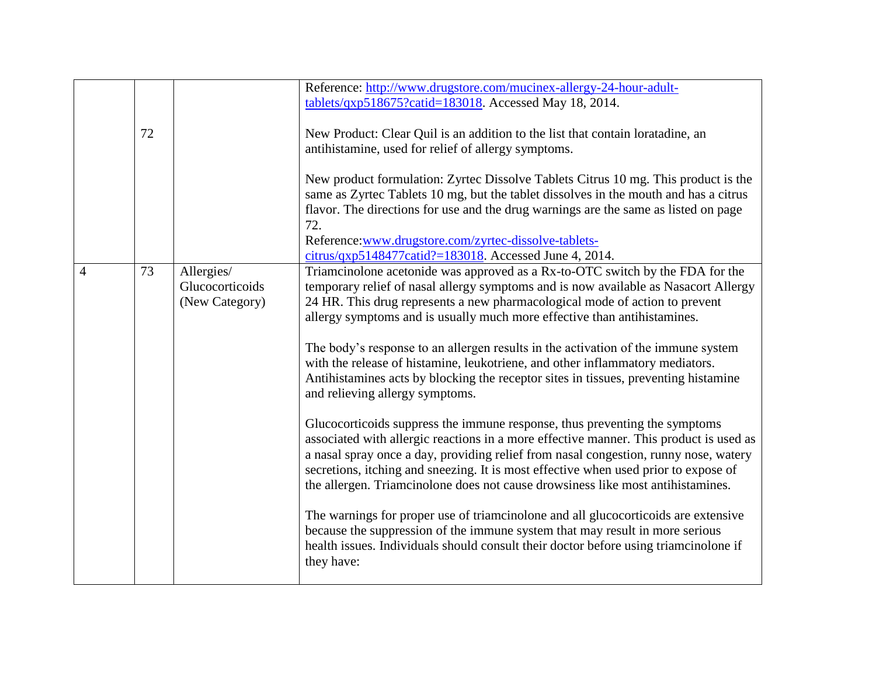|   | 72 |                                                 | Reference: http://www.drugstore.com/mucinex-allergy-24-hour-adult-<br>tablets/qxp518675?catid=183018. Accessed May 18, 2014.<br>New Product: Clear Quil is an addition to the list that contain loratadine, an<br>antihistamine, used for relief of allergy symptoms.<br>New product formulation: Zyrtec Dissolve Tablets Citrus 10 mg. This product is the<br>same as Zyrtec Tablets 10 mg, but the tablet dissolves in the mouth and has a citrus<br>flavor. The directions for use and the drug warnings are the same as listed on page                                                                                      |
|---|----|-------------------------------------------------|---------------------------------------------------------------------------------------------------------------------------------------------------------------------------------------------------------------------------------------------------------------------------------------------------------------------------------------------------------------------------------------------------------------------------------------------------------------------------------------------------------------------------------------------------------------------------------------------------------------------------------|
|   |    |                                                 | 72.<br>Reference:www.drugstore.com/zyrtec-dissolve-tablets-<br>$citrus/qxp5148477catid? = 183018$ . Accessed June 4, 2014.                                                                                                                                                                                                                                                                                                                                                                                                                                                                                                      |
| 4 | 73 | Allergies/<br>Glucocorticoids<br>(New Category) | Triamcinolone acetonide was approved as a Rx-to-OTC switch by the FDA for the<br>temporary relief of nasal allergy symptoms and is now available as Nasacort Allergy<br>24 HR. This drug represents a new pharmacological mode of action to prevent<br>allergy symptoms and is usually much more effective than antihistamines.<br>The body's response to an allergen results in the activation of the immune system<br>with the release of histamine, leukotriene, and other inflammatory mediators.<br>Antihistamines acts by blocking the receptor sites in tissues, preventing histamine<br>and relieving allergy symptoms. |
|   |    |                                                 | Glucocorticoids suppress the immune response, thus preventing the symptoms<br>associated with allergic reactions in a more effective manner. This product is used as<br>a nasal spray once a day, providing relief from nasal congestion, runny nose, watery<br>secretions, itching and sneezing. It is most effective when used prior to expose of<br>the allergen. Triamcinolone does not cause drowsiness like most antihistamines.                                                                                                                                                                                          |
|   |    |                                                 | The warnings for proper use of triamcinolone and all glucocorticoids are extensive<br>because the suppression of the immune system that may result in more serious<br>health issues. Individuals should consult their doctor before using triamcinolone if<br>they have:                                                                                                                                                                                                                                                                                                                                                        |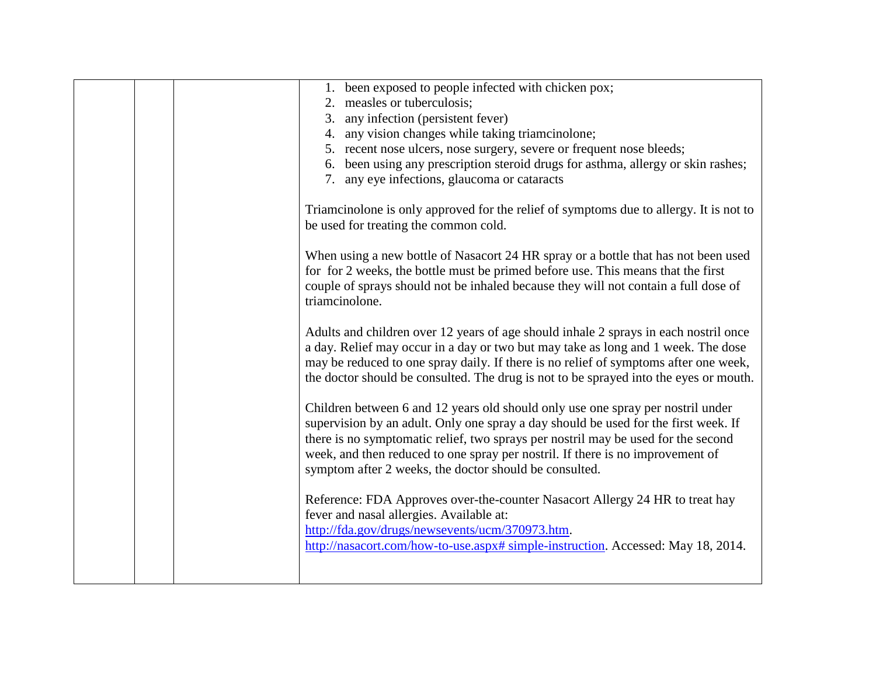| 1. been exposed to people infected with chicken pox;<br>2. measles or tuberculosis;                                                                                                                                                                                                                                                                                                                     |
|---------------------------------------------------------------------------------------------------------------------------------------------------------------------------------------------------------------------------------------------------------------------------------------------------------------------------------------------------------------------------------------------------------|
| 3. any infection (persistent fever)                                                                                                                                                                                                                                                                                                                                                                     |
| 4. any vision changes while taking triamcinolone;                                                                                                                                                                                                                                                                                                                                                       |
| 5. recent nose ulcers, nose surgery, severe or frequent nose bleeds;<br>6. been using any prescription steroid drugs for asthma, allergy or skin rashes;                                                                                                                                                                                                                                                |
| 7. any eye infections, glaucoma or cataracts                                                                                                                                                                                                                                                                                                                                                            |
| Triamcinolone is only approved for the relief of symptoms due to allergy. It is not to<br>be used for treating the common cold.                                                                                                                                                                                                                                                                         |
| When using a new bottle of Nasacort 24 HR spray or a bottle that has not been used<br>for for 2 weeks, the bottle must be primed before use. This means that the first<br>couple of sprays should not be inhaled because they will not contain a full dose of<br>triamcinolone.                                                                                                                         |
| Adults and children over 12 years of age should inhale 2 sprays in each nostril once<br>a day. Relief may occur in a day or two but may take as long and 1 week. The dose<br>may be reduced to one spray daily. If there is no relief of symptoms after one week,<br>the doctor should be consulted. The drug is not to be sprayed into the eyes or mouth.                                              |
| Children between 6 and 12 years old should only use one spray per nostril under<br>supervision by an adult. Only one spray a day should be used for the first week. If<br>there is no symptomatic relief, two sprays per nostril may be used for the second<br>week, and then reduced to one spray per nostril. If there is no improvement of<br>symptom after 2 weeks, the doctor should be consulted. |
| Reference: FDA Approves over-the-counter Nasacort Allergy 24 HR to treat hay<br>fever and nasal allergies. Available at:                                                                                                                                                                                                                                                                                |
| http://fda.gov/drugs/newsevents/ucm/370973.htm.<br>http://nasacort.com/how-to-use.aspx# simple-instruction. Accessed: May 18, 2014.                                                                                                                                                                                                                                                                     |
|                                                                                                                                                                                                                                                                                                                                                                                                         |